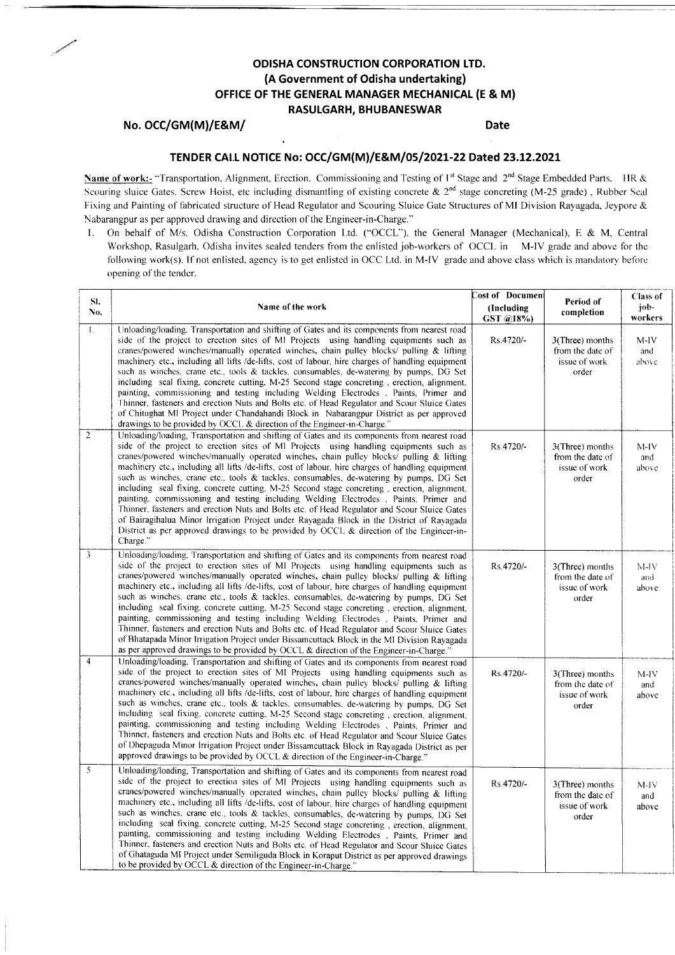# ODISHA CONSTRUCTION CORPORATION LTD. (A Government of Odisha undertaking) OFFICE OF THE GENERAL MANAGER MECHANICAL (E & M) RASULGARH, BHUBANESWAR

## No. OCC/GM(M)/E&M/

**Date** 

# TENDER CAI.L NOTICE No: OCC/GM(M)/E&M/05/2021-22 Dated 23.12.2021

Name of work:- "Transportation, Alignment, Erection, Commissioning and Testing of 1<sup>st</sup> Stage and 2<sup>nd</sup> Stage Embedded Parts. IIR & Scouring sluice Gates. Screw Hoist, etc including dismantling of existing concrete & 2<sup>nd</sup> stage concreting (M-25 grade), Rubber Seal Fixing and Painting of fabricated structure of Head Regulator and Scouring Sluice Gate Structures of MI Division Rayagada, Jeypore & Nabarangpur as per approved drawing and direction of the Engineer-in-Charge."

1. On behalf of M/s. Odisha Construction Corporation Ltd. ("OCCL"), the General Manager (Mechanical), E & M, Central Workshop, Rasulgarh, Odisha invites sealed tenders from the enlisted job-workers of OCCL in M-IV grade and above for the following work(s). If not enlisted, agency is to get enlisted in OCC Ltd. in M-IV grade and above class which is mandatory before opening of the tender.

| SI.<br>No.     | Name of the work                                                                                                                                                                                                                                                                                                                                                                                                                                                                                                                                                                                                                                                                                                                                                                                                                                                                                                                                                               | Cost of Documen<br>(Including | Period of<br>completion                                          | Class of<br>job-                  |
|----------------|--------------------------------------------------------------------------------------------------------------------------------------------------------------------------------------------------------------------------------------------------------------------------------------------------------------------------------------------------------------------------------------------------------------------------------------------------------------------------------------------------------------------------------------------------------------------------------------------------------------------------------------------------------------------------------------------------------------------------------------------------------------------------------------------------------------------------------------------------------------------------------------------------------------------------------------------------------------------------------|-------------------------------|------------------------------------------------------------------|-----------------------------------|
| $\mathbf{1}$ . | Unloading/loading, Transportation and shifting of Gates and its components from nearest road<br>side of the project to erection sites of MI Projects using handling equipments such as<br>cranes/powered winches/manually operated winches, chain pulley blocks/ pulling & lifting<br>machinery etc., including all lifts /de-lifts, cost of labour, hire charges of handling equipment<br>such as winches, crane etc., tools & tackles, consumables, de-watering by pumps, DG Set<br>including seal fixing, concrete cutting, M-25 Second stage concreting, erection, alignment,<br>painting, commissioning and testing including Welding Electrodes , Paints, Primer and<br>Thinner, fasteners and erection Nuts and Bolts etc. of Head Regulator and Scour Sluice Gates<br>of Chitughat MI Project under Chandahandi Block in Nabarangpur District as per approved<br>drawings to be provided by OCCL & direction of the Engineer-in-Charge."                               | GST @18%)<br>Rs.4720/-        | 3(Three) months<br>from the date of<br>issue of work<br>order    | workers<br>$M-IV$<br>and<br>above |
| $\overline{2}$ | Unloading/loading, Transportation and shifting of Gates and its components from nearest road<br>side of the project to erection sites of MI Projects using handling equipments such as<br>cranes/powered winches/manually operated winches, chain pulley blocks/ pulling & lifting<br>machinery etc., including all lifts /de-lifts, cost of labour, hire charges of handling equipment<br>such as winches, crane etc., tools & tackles, consumables, de-watering by pumps, DG Set<br>including seal fixing, concrete cutting, M-25 Second stage concreting, erection, alignment,<br>painting, commissioning and testing including Welding Electrodes, Paints, Primer and<br>Thinner, fasteners and erection Nuts and Bolts etc. of Head Regulator and Scour Sluice Gates<br>of Bairagihalua Minor Irrigation Project under Rayagada Block in the District of Rayagada<br>District as per approved drawings to be provided by OCCL & direction of the Engineer-in-<br>Charge." | Rs.4720/-                     | 3(Three) months<br>from the date of<br>issue of work<br>order    | $M-IV$<br>and<br>above            |
| 3              | Unloading/loading, Transportation and shifting of Gates and its components from nearest road<br>side of the project to erection sites of MI Projects using handling equipments such as<br>cranes/powered winches/manually operated winches, chain pulley blocks/ pulling & lifting<br>machinery etc., including all lifts /de-lifts, cost of labour, hire charges of handling equipment<br>such as winches, crane etc., tools & tackles. consumables, de-watering by pumps, DG Set<br>including seal fixing, concrete cutting, M-25 Second stage concreting, erection, alignment,<br>painting, commissioning and testing including Welding Electrodes , Paints, Primer and<br>Thinner, fasteners and erection Nuts and Bolts etc. of Head Regulator and Scour Sluice Gates<br>of Bhatapada Minor Irrigation Project under Bissamcuttack Block in the MI Division Rayagada<br>as per approved drawings to be provided by OCCL & direction of the Engineer-in-Charge."           | Rs.4720/-                     | 3(Three) months<br>from the date of<br>issue of work<br>order    | $M-IV$<br>and<br>above            |
| $\overline{4}$ | Unloading/loading, Transportation and shifting of Gates and its components from nearest road<br>side of the project to erection sites of MI Projects using handling equipments such as<br>cranes/powered winches/manually operated winches, chain pulley blocks/ pulling & lifting<br>machinery etc., including all lifts /de-lifts, cost of labour, hire charges of handling equipment<br>such as winches, crane etc., tools & tackles, consumables, de-watering by pumps, DG Set<br>including seal fixing, concrete cutting, M-25 Second stage concreting, erection, alignment,<br>painting, commissioning and testing including Welding Electrodes , Paints, Primer and<br>Thinner, fasteners and erection Nuts and Bolts etc. of Head Regulator and Scour Sluice Gates<br>of Dhepaguda Minor Irrigation Project under Bissamcuttack Block in Rayagada District as per<br>approved drawings to be provided by OCCL & direction of the Engineer-in-Charge."                  | Rs.4720/-                     | $3$ (Three) months<br>from the date of<br>issue of work<br>order | $M-IV$<br>and<br>above            |
| 5              | Unloading/loading, Transportation and shifting of Gates and its components from nearest road<br>side of the project to erection sites of MI Projects using handling equipments such as<br>cranes/powered winches/manually operated winches, chain pulley blocks/ pulling & lifting<br>machinery etc., including all lifts /de-lifts, cost of labour, hire charges of handling equipment<br>such as winches, crane etc., tools & tackles, consumables, de-watering by pumps, DG Set<br>including seal fixing, concrete cutting, M-25 Second stage concreting, erection, alignment,<br>painting, commissioning and testing including Welding Electrodes , Paints, Primer and<br>Thinner, fasteners and erection Nuts and Bolts etc. of Head Regulator and Scour Sluice Gates<br>of Ghataguda MI Project under Semiliguda Block in Koraput District as per approved drawings<br>to be provided by OCCL & direction of the Engineer-in-Charge."                                    | Rs.4720/-                     | 3(Three) months<br>from the date of<br>issue of work<br>order    | $M-HV$<br>and<br>above            |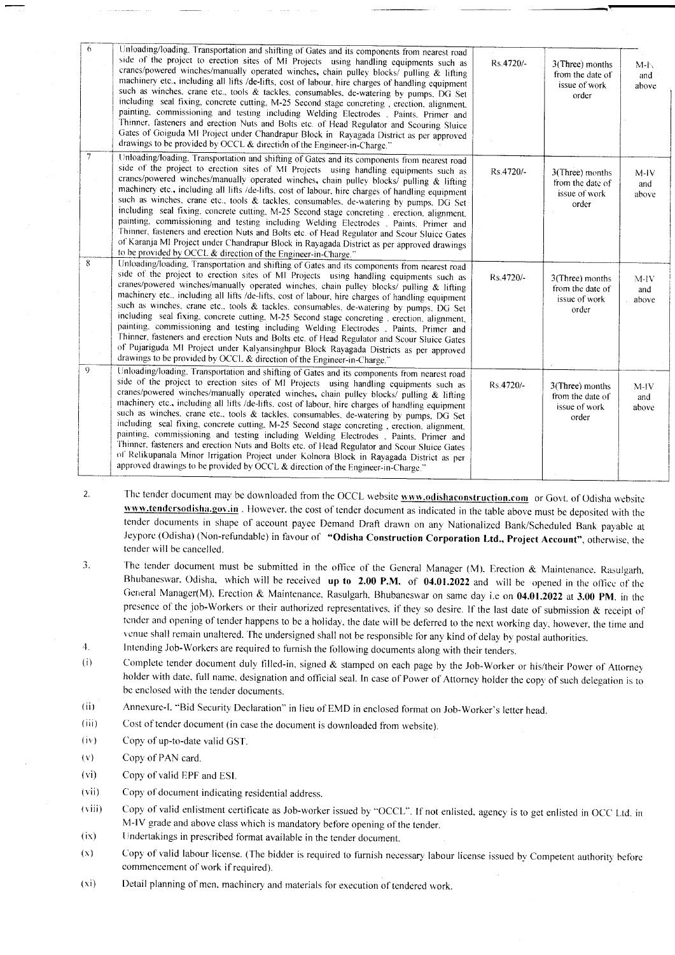| 6<br>$\overline{7}$ | Unloading/loading, Transportation and shifting of Gates and its components from nearest road<br>side of the project to erection sites of MI Projects using handling equipments such as<br>cranes/powered winches/manually operated winches, chain pulley blocks/ pulling & lifting<br>machinery etc., including all lifts /de-lifts, cost of labour, hire charges of handling equipment<br>such as winches, crane etc., tools & tackles, consumables, de-watering by pumps, DG Set<br>including seal fixing, concrete cutting, M-25 Second stage concreting, erection, alignment,<br>painting, commissioning and testing including Welding Electrodes . Paints. Primer and<br>Thinner, fasteners and erection Nuts and Bolts etc. of Head Regulator and Scouring Sluice<br>Gates of Goiguda MI Project under Chandrapur Block in Rayagada District as per approved<br>drawings to be provided by OCCL & direction of the Engineer-in-Charge."              | Rs.4720/- | 3(Three) months<br>from the date of<br>issue of work<br>order | M <sub>1</sub><br>and<br>above |
|---------------------|------------------------------------------------------------------------------------------------------------------------------------------------------------------------------------------------------------------------------------------------------------------------------------------------------------------------------------------------------------------------------------------------------------------------------------------------------------------------------------------------------------------------------------------------------------------------------------------------------------------------------------------------------------------------------------------------------------------------------------------------------------------------------------------------------------------------------------------------------------------------------------------------------------------------------------------------------------|-----------|---------------------------------------------------------------|--------------------------------|
| 8                   | Unloading/loading, Transportation and shifting of Gates and its components from nearest road<br>side of the project to erection sites of MI Projects using handling equipments such as<br>cranes/powered winches/manually operated winches, chain pulley blocks/ pulling & lifting<br>machinery etc., including all lifts /de-lifts, cost of labour, hire charges of handling equipment<br>such as winches, crane etc., tools & tackles, consumables, de-watering by pumps. DG Set<br>including seal fixing, concrete cutting, M-25 Second stage concreting . erection, alignment,<br>painting, commissioning and testing including Welding Electrodes , Paints, Primer and<br>Thinner, fasteners and erection Nuts and Bolts etc. of Head Regulator and Scour Sluice Gates<br>of Karanja MI Project under Chandrapur Block in Rayagada District as per approved drawings<br>to be provided by OCCL & direction of the Engineer-in-Charge."                | Rs.4720/- | 3(Three) months<br>from the date of<br>issue of work<br>order | $M$ - $IV$<br>and<br>above     |
|                     | Unloading/loading, Transportation and shifting of Gates and its components from nearest road<br>side of the project to erection sites of MI Projects using handling equipments such as<br>cranes/powered winches/manually operated winches, chain pulley blocks/ pulling & lifting<br>machinery etc., including all lifts /de-lifts, cost of labour, hire charges of handling equipment<br>such as winches, crane etc., tools & tackles, consumables, de-watering by pumps. DG Set<br>including seal fixing, concrete cutting, M-25 Second stage concreting, erection, alignment,<br>painting, commissioning and testing including Welding Electrodes , Paints, Primer and<br>Thinner, fasteners and erection Nuts and Bolts etc. of Head Regulator and Scour Sluice Gates<br>of Pujariguda MI Project under Kalyansinghpur Block Rayagada Districts as per approved<br>drawings to be provided by OCCL & direction of the Engineer-in-Charge."            | Rs.4720/- | 3(Three) months<br>from the date of<br>issue of work<br>order | $M-IV$<br>and<br>above         |
| 9                   | Unloading/loading, Transportation and shifting of Gates and its components from nearest road<br>side of the project to erection sites of MI Projects using handling equipments such as<br>cranes/powered winches/manually operated winches, chain pulley blocks/ pulling & lifting<br>machinery etc., including all lifts /de-lifts, cost of labour, hire charges of handling equipment<br>such as winches, crane etc., tools & tackles, consumables, de-watering by pumps, DG Set<br>including seal fixing, concrete cutting, M-25 Second stage concreting, erection, alignment,<br>painting, commissioning and testing including Welding Electrodes . Paints, Primer and<br>Thinner, fasteners and erection Nuts and Bolts etc. of Head Regulator and Scour Sluice Gates<br>of Relikupanala Minor Irrigation Project under Kolnora Block in Rayagada District as per<br>approved drawings to be provided by OCCL & direction of the Engineer-in-Charge." | Rs.4720/- | 3(Three) months<br>from the date of<br>issue of work<br>order | $M-IV$<br>and<br>above         |

- 2. The tender document may be downloaded from the OCCL website **www.odishaconstruction.com** or Govt. of Odisha website www.tendersodisha.gov.in. However, the cost of tender document as indicated in the table above must be deposited with the tender documents in shape of account payee Demand Draft drawn on any Nationalized Bank/Scheduled Bank payable at Jeypore (Odisha) (Non-refundable) in favour of "Odisha Construction Corporation Ltd., Project Account", otherwise, the tender will be cancelled.
- 3. The tender document must be submitted in the office of the General Manager (M). Erection & Maintenance, Rasulgarh, Bhubaneswar, Odisha, which will be received up to 2.00 P.M. of 04.01.2022 and will be opened in the office of the General Manager(M), Erection & Maintenance, Rasulgarh, Bhubaneswar on same day i.e on 04.01.2022 at 3.00 PM. in the presence of the job-Workers or their authorized representatives, if they so desire. If the last date of submission  $\&$  receipt of tender and opening of tender happens to be a holiday, the date will be deferred to the next working day, however, the time and rcnue shall remain unaltered. The undersigned shall not be responsible for any kind of delay by postal authorities.<br>4. Intending Job-Workers are required to furnish the following documents along with their tenders.
- 
- (i) Complete tender document duly filled-in, signed & stamped on each page by the Job-Worker or his/their Power of Attorney holder with date, full name, designation and official seal. In case of Power of Attorney holder the copy of such delegation is to be enclosed with the tender documents.
- (ii) Annexure-[. "Bid Security Declaration" in Iieu of EMD in enclosed format on Job-Worker's letter head.
- (iii) Cost of tender document (in case the document is downloaded from website).
- (iv) Copy of up-to-date valid GST.
- $(v)$  Copy of PAN card.
- (vi) Copy of valid EPF and ESI.
- (vii) Copy of document indicating residential address.
- (viii) Copy of valid enlistment certificate as Job-worker issued by "OCCL". If not enlisted. agency is to get enlisted in OCC Ltd. in M-IV grade and above class which is mandatory before opening of the tender.
- (ix) Undertakings in prescribed format available in the tender document.
- $(x)$  Copy of valid labour license. (The bidder is required to furnish necessary labour license issued by Competent authority before commencement of work if required).
- $(xi)$  Detail planning of men, machinery and materials for execution of tendered work.